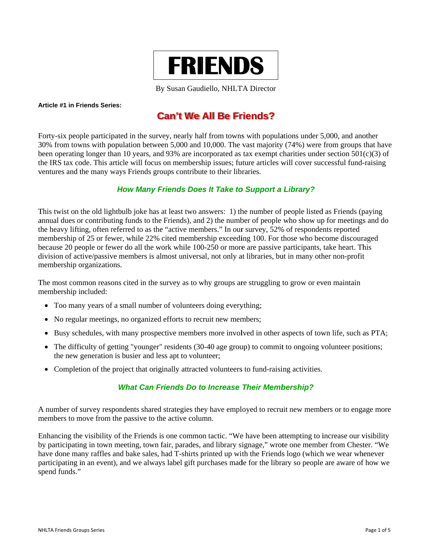

By Susan Gaudiello, NHLTA Director

#### Article #1 in Friends Series:

## **Can't We All Be Friends?**

Forty-six people participated in the survey, nearly half from towns with populations under 5,000, and another 30% from towns with population between 5,000 and 10,000. The vast majority (74%) were from groups that have been operating longer than 10 years, and 93% are incorporated as tax exempt charities under section  $501(c)(3)$  of the IRS tax code. This article will focus on membership issues; future articles will cover successful fund-raising ventures and the many ways Friends groups contribute to their libraries.

## How Many Friends Does It Take to Support a Library?

This twist on the old lightbulb joke has at least two answers: 1) the number of people listed as Friends (paying annual dues or contributing funds to the Friends), and 2) the number of people who show up for meetings and do the heavy lifting, often referred to as the "active members." In our survey, 52% of respondents reported membership of 25 or fewer, while 22% cited membership exceeding 100. For those who become discouraged because 20 people or fewer do all the work while 100-250 or more are passive participants, take heart. This division of active/passive members is almost universal, not only at libraries, but in many other non-profit membership organizations.

The most common reasons cited in the survey as to why groups are struggling to grow or even maintain membership included:

- Too many years of a small number of volunteers doing everything;
- No regular meetings, no organized efforts to recruit new members;
- Busy schedules, with many prospective members more involved in other aspects of town life, such as PTA;
- The difficulty of getting "younger" residents (30-40 age group) to commit to ongoing volunteer positions; the new generation is busier and less apt to volunteer;
- Completion of the project that originally attracted volunteers to fund-raising activities.

## **What Can Friends Do to Increase Their Membership?**

A number of survey respondents shared strategies they have employed to recruit new members or to engage more members to move from the passive to the active column.

Enhancing the visibility of the Friends is one common tactic. "We have been attempting to increase our visibility by participating in town meeting, town fair, parades, and library signage," wrote one member from Chester. "We have done many raffles and bake sales, had T-shirts printed up with the Friends logo (which we wear whenever participating in an event), and we always label gift purchases made for the library so people are aware of how we spend funds."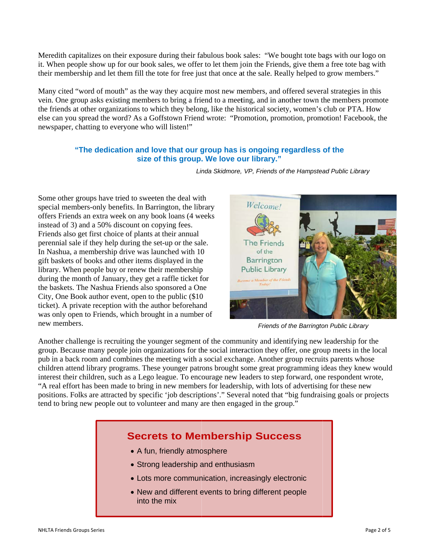Meredith capitalizes on their exposure during their fabulous book sales: "We bought tote bags with our logo on it. When people show up for our book sales, we offer to let them join the Friends, give them a free tote bag with their membership and let them fill the tote for free just that once at the sale. Really helped to grow members."

Many cited "word of mouth" as the way they acquire most new members, and offered several strategies in this vein. One group asks existing members to bring a friend to a meeting, and in another town the members promote the friends at other organizations to which they belong, like the historical society, women's club or PTA. How else can you spread the word? As a Goffstown Friend wrote: "Promotion, promotion, promotion! Facebook, the newspaper, chatting to everyone who will listen!"

### "The dedication and love that our group has is ongoing regardless of the **size of this group. . We love o ur library."**

Some other groups have tried to sweeten the deal with special members-only benefits. In Barrington, the library offers Friends an extra week on any book loans (4 weeks instead of 3) and a 50% discount on copying fees. Friends also get first choice of plants at their annual perennial sale if they help during the set-up or the sale. In Nashua, a membership drive was launched with 10 gift baskets of books and other items displayed in the library. When people buy or renew their membership In Nashua, a membership drive was launched with 10 gift baskets of books and other items displayed in the library. When people buy or renew their membership during the month of January, they get a raffle ticket for

the baskets. The Nashua Friends also sponsored a One City, One Book author event, open to the public (\$10) City, One Book author event, open to the public (\$10 ticket). A private reception with the author beforehand was only open to Friends, which brought in a number of

Welcome! **The Friends** of the **Barrington Public Library** 

Linda Skidmore, VP, Friends of the Hampstead Public Library

**Friends of the Barrington Public Library** 

Another challenge is recruiting the younger segment of the community and identifying new leadership for the group. Because many people join organizations for the social interaction they offer, one group meets in the local pub in a back room and combines the meeting with a social exchange. Another group recruits parents whose children attend library programs. These younger patrons brought some great programming ideas they knew would interest their children, such as a Lego league. To encourage new leaders to step forward, one respondent wrote, "A real effort has been made to bring in new members for leadership, with lots of advertising for these new positions. Folks are attracted by specific 'job descriptions'." Several noted that "big fundraising goals or projects tend to bring new people out to volunteer and many are then engaged in the group."

## **Secrets to Membership Success**

- A fun, friendly atmosphere
- Strong leadership and enthusiasm
- Lots more communication, increasingly electronic
- New and different events to bring different people into the mix

n new members s.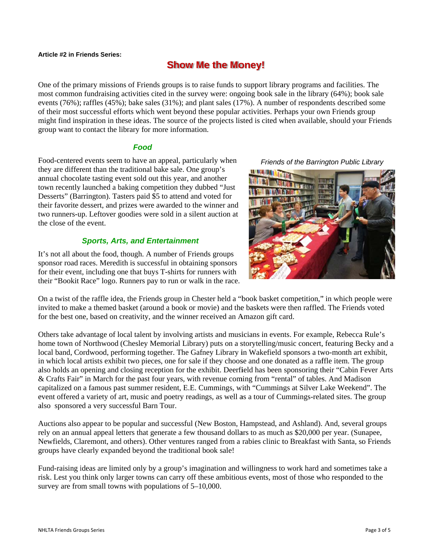#### **A Article #2 in Fr riends Series:**

# **Show Me the Money!**

One of the primary missions of Friends groups is to raise funds to support library programs and facilities. The most common fundraising activities cited in the survey were: ongoing book sale in the library (64%); book sale events (76%); raffles (45%); bake sales (31%); and plant sales (17%). A number of respondents described some of their most successful efforts which went beyond these popular activities. Perhaps your own Friends group might find inspiration in these ideas. The source of the projects listed is cited when available, should your Friends group want to contact the library for more information.

### *Food*

Food-centered events seem to have an appeal, particularly when they are different than the traditional bake sale. One group's annual chocolate tasting event sold out this year, and another town recently launched a baking competition they dubbed "Just Desserts" (Barrington). Tasters paid \$5 to attend and voted for their favorite dessert, and prizes were awarded to the winner and two runners-up. Leftover goodies were sold in a silent auction at t the close of th he event.

## **Sports, Arts, and Entertainment**

It's not all about the food, though. A number of Friends groups sponsor road races. Meredith is successful in obtaining sponsors for their event, including one that buys T-shirts for runners with their "Bookit Race" logo. Runners pay to run or walk in the race. **Friends of the Barrington Public Library** 



On a twist of the raffle idea, the Friends group in Chester held a "book basket competition," in which people were invited to make a themed basket (around a book or movie) and the baskets were then raffled. The Friends voted for the best one, based on creativity, and the winner received an Amazon gift card.

Others take advantage of local talent by involving artists and musicians in events. For example, Rebecca Rule's home town of Northwood (Chesley Memorial Library) puts on a storytelling/music concert, featuring Becky and a local band, Cordwood, performing together. The Gafney Library in Wakefield sponsors a two-month art exhibit, in which local artists exhibit two pieces, one for sale if they choose and one donated as a raffle item. The group also holds an opening and closing reception for the exhibit. Deerfield has been sponsoring their "Cabin Fever Arts & Crafts Fair" in March for the past four years, with revenue coming from "rental" of tables. And Madison capitalized on a famous past summer resident, E.E. Cummings, with "Cummings at Silver Lake Weekend". The event offered a variety of art, music and poetry readings, as well as a tour of Cummings-related sites. The group also sponsored a very successful Barn Tour.

Auctions also appear to be popular and successful (New Boston, Hampstead, and Ashland). And, several groups rely on an annual appeal letters that generate a few thousand dollars to as much as \$20,000 per year. (Sunapee, Newfields, Claremont, and others). Other ventures ranged from a rabies clinic to Breakfast with Santa, so Friends groups have clearly expanded beyond the traditional book sale!

Fund-raising ideas are limited only by a group's imagination and willingness to work hard and sometimes take a risk. Lest you think only larger towns can carry off these ambitious events, most of those who responded to the survey are from small towns with populations of 5–10,000.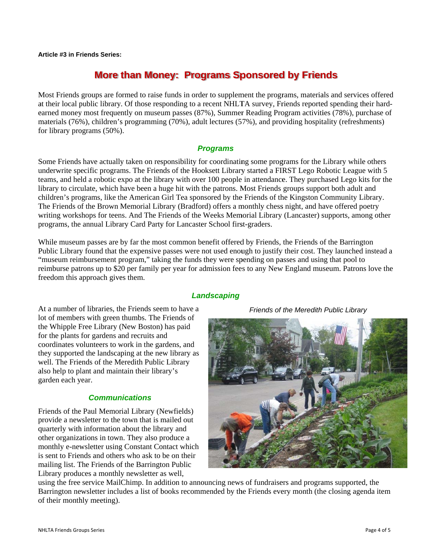**A Article #3 in Fr riends Series:** 

## **More than Money: Programs Sponsored by Friends**

Most Friends groups are formed to raise funds in order to supplement the programs, materials and services offered at their local public library. Of those responding to a recent NHLTA survey, Friends reported spending their hardearned money most frequently on museum passes (87%), Summer Reading Program activities (78%), purchase of materials (76%), children's programming (70%), adult lectures (57%), and providing hospitality (refreshments) for library programs (50%).

## *P Programs*

Some Friends have actually taken on responsibility for coordinating some programs for the Library while others underwrite specific programs. The Friends of the Hooksett Library started a FIRST Lego Robotic League with 5 teams, and held a robotic expo at the library with over 100 people in attendance. They purchased Lego kits for the library to circulate, which have been a huge hit with the patrons. Most Friends groups support both adult and children's programs, like the American Girl Tea sponsored by the Friends of the Kingston Community Library. The Friends of the Brown Memorial Library (Bradford) offers a monthly chess night, and have offered poetry writing workshops for teens. And The Friends of the Weeks Memorial Library (Lancaster) supports, among other programs, the annual Library Card Party for Lancaster School first-graders.

While museum passes are by far the most common benefit offered by Friends, the Friends of the Barrington Public Library found that the expensive passes were not used enough to justify their cost. They launched instead a "museum reimbursement program," taking the funds they were spending on passes and using that pool to "museum reimbursement program," taking the funds they were spending on passes and using that pool to<br>reimburse patrons up to \$20 per family per year for admission fees to any New England museum. Patrons love the freedom this approach gives them.

At a number of libraries, the Friends seem to have a lot of members with green thumbs. The Friends of t the Whipple F Free Library ( (New Boston) ) has paid for the plants for gardens and recruits and coordinates volunteers to work in the gardens, and they supported the landscaping at the new library as well. The Friends of the Meredith Public Library also help to plant and maintain their library's g garden each y year.

## *<u>Communications</u>*

Friends of the Paul Memorial Library (Newfields) provide a newsletter to the town that is mailed out quarterly with information about the library and other organizations in town. They also produce a monthly e-newsletter using Constant Contact which is sent to Friends and others who ask to be on their mailing list. The Friends of the Barrington Public Library produces a monthly newsletter as well,

## **Landscaping**

*Friends of the Meredith Public Library* 



using the free service MailChimp. In addition to announcing news of fundraisers and programs supported, the Barrington newsletter includes a list of books recommended by the Friends every month (the closing agenda item of their monthly meeting).